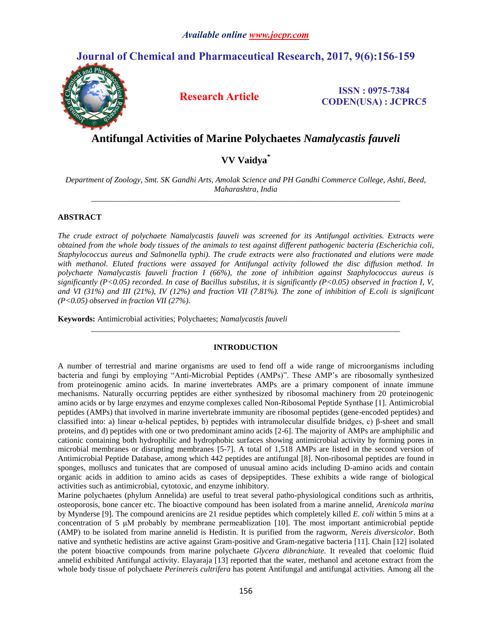# **Journal of Chemical and Pharmaceutical Research, 2017, 9(6):156-159**



**Research Article ISSN : 0975-7384 CODEN(USA) : JCPRC5**

## **Antifungal Activities of Marine Polychaetes** *Namalycastis fauveli*

### **VV Vaidya\***

*Department of Zoology, Smt. SK Gandhi Arts, Amolak Science and PH Gandhi Commerce College, Ashti, Beed, Maharashtra, India \_\_\_\_\_\_\_\_\_\_\_\_\_\_\_\_\_\_\_\_\_\_\_\_\_\_\_\_\_\_\_\_\_\_\_\_\_\_\_\_\_\_\_\_\_\_\_\_\_\_\_\_\_\_\_\_\_\_\_\_\_\_\_\_\_\_\_\_\_\_\_\_\_\_\_\_\_*

### **ABSTRACT**

*The crude extract of polychaete Namalycastis fauveli was screened for its Antifungal activities. Extracts were obtained from the whole body tissues of the animals to test against different pathogenic bacteria (Escherichia coli, Staphylococcus aureus and Salmonella typhi). The crude extracts were also fractionated and elutions were made with methanol. Eluted fractions were assayed for Antifungal activity followed the disc diffusion method. In polychaete Namalycastis fauveli fraction I (66%), the zone of inhibition against Staphylococcus aureus is significantly (P<0.05) recorded. In case of Bacillus substilus, it is significantly (P<0.05) observed in fraction I, V, and VI (31%) and III (21%), IV (12%) and fraction VII (7.81%). The zone of inhibition of E.coli is significant (P<0.05) observed in fraction VII (27%).*

**Keywords:** Antimicrobial activities; Polychaetes; *Namalycastis fauveli*

#### **INTRODUCTION**

*\_\_\_\_\_\_\_\_\_\_\_\_\_\_\_\_\_\_\_\_\_\_\_\_\_\_\_\_\_\_\_\_\_\_\_\_\_\_\_\_\_\_\_\_\_\_\_\_\_\_\_\_\_\_\_\_\_\_\_\_\_\_\_\_\_\_\_\_\_\_\_\_\_\_\_\_\_*

A number of terrestrial and marine organisms are used to fend off a wide range of microorganisms including bacteria and fungi by employing "Anti-Microbial Peptides (AMPs)". These AMP's are ribosomally synthesized from proteinogenic amino acids. In marine invertebrates AMPs are a primary component of innate immune mechanisms. Naturally occurring peptides are either synthesized by ribosomal machinery from 20 proteinogenic amino acids or by large enzymes and enzyme complexes called Non-Ribosomal Peptide Synthase [1]. Antimicrobial peptides (AMPs) that involved in marine invertebrate immunity are ribosomal peptides (gene-encoded peptides) and classified into: a) linear α-helical peptides, b) peptides with intramolecular disulfide bridges, c) β-sheet and small proteins, and d) peptides with one or two predominant amino acids [2-6]. The majority of AMPs are amphiphilic and cationic containing both hydrophilic and hydrophobic surfaces showing antimicrobial activity by forming pores in microbial membranes or disrupting membranes [5-7]. A total of 1,518 AMPs are listed in the second version of Antimicrobial Peptide Database, among which 442 peptides are antifungal [8]. Non-ribosomal peptides are found in sponges, molluscs and tunicates that are composed of unusual amino acids including D-amino acids and contain organic acids in addition to amino acids as cases of depsipeptides. These exhibits a wide range of biological activities such as antimicrobial, cytotoxic, and enzyme inhibitory.

Marine polychaetes (phylum Annelida) are useful to treat several patho-physiological conditions such as arthritis, osteoporosis, bone cancer etc. The bioactive compound has been isolated from a marine annelid, *Arenicola marina*  by Mynderse [9]. The compound arenicins are 21 residue peptides which completely killed *E. coli* within 5 mins at a concentration of 5 μM probably by membrane permeablization [10]. The most important antimicrobial peptide (AMP) to be isolated from marine annelid is Hedistin. It is purified from the ragworm, *Nereis diversicolor*. Both native and synthetic hedistins are active against Gram-positive and Gram-negative bacteria [11]. Chain [12] isolated the potent bioactive compounds from marine polychaete *Glycera dibranchiate.* It revealed that coelomic fluid annelid exhibited Antifungal activity. Elayaraja [13] reported that the water, methanol and acetone extract from the whole body tissue of polychaete *Perinereis cultrifera* has potent Antifungal and antifungal activities. Among all the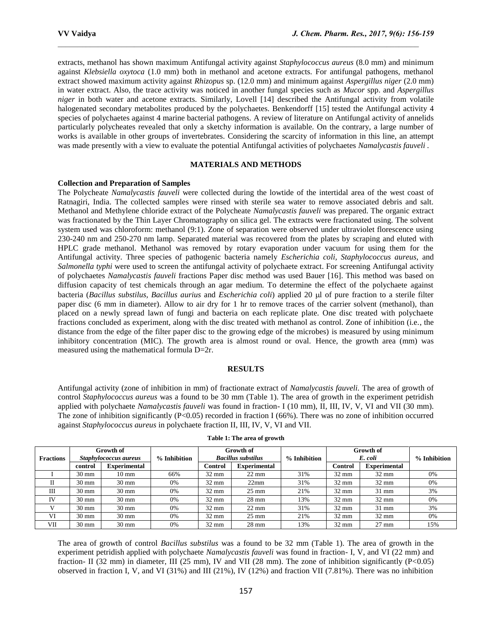extracts, methanol has shown maximum Antifungal activity against *Staphylococcus aureus* (8.0 mm) and minimum against *Klebsiella oxytoca* (1.0 mm) both in methanol and acetone extracts. For antifungal pathogens, methanol extract showed maximum activity against *Rhizopus* sp. (12.0 mm) and minimum against *Aspergillus niger* (2.0 mm) in water extract. Also, the trace activity was noticed in another fungal species such as *Mucor* spp. and *Aspergillus niger* in both water and acetone extracts. Similarly, Lovell [14] described the Antifungal activity from volatile halogenated secondary metabolites produced by the polychaetes. Benkendorff [15] tested the Antifungal activity 4 species of polychaetes against 4 marine bacterial pathogens. A review of literature on Antifungal activity of annelids particularly polycheates revealed that only a sketchy information is available. On the contrary, a large number of works is available in other groups of invertebrates. Considering the scarcity of information in this line, an attempt was made presently with a view to evaluate the potential Antifungal activities of polychaetes *Namalycastis fauveli .*

 $\mathcal{L}_\text{max}$ 

#### **MATERIALS AND METHODS**

#### **Collection and Preparation of Samples**

The Polycheate *Namalycastis fauveli* were collected during the lowtide of the intertidal area of the west coast of Ratnagiri, India. The collected samples were rinsed with sterile sea water to remove associated debris and salt. Methanol and Methylene chloride extract of the Polycheate *Namalycastis fauveli* was prepared. The organic extract was fractionated by the Thin Layer Chromatography on silica gel. The extracts were fractionated using. The solvent system used was chloroform: methanol (9:1). Zone of separation were observed under ultraviolet florescence using 230-240 nm and 250-270 nm lamp. Separated material was recovered from the plates by scraping and eluted with HPLC grade methanol. Methanol was removed by rotary evaporation under vacuum for using them for the Antifungal activity. Three species of pathogenic bacteria namely *Escherichia coli, Staphylococcus aureus,* and *Salmonella typhi* were used to screen the antifungal activity of polychaete extract. For screening Antifungal activity of polychaetes *Namalycastis fauveli* fractions Paper disc method was used Bauer [16]. This method was based on diffusion capacity of test chemicals through an agar medium. To determine the effect of the polychaete against bacteria (*Bacillus substilus, Bacillus aurius* and *Escherichia coli*) applied 20 µl of pure fraction to a sterile filter paper disc (6 mm in diameter). Allow to air dry for 1 hr to remove traces of the carrier solvent (methanol), than placed on a newly spread lawn of fungi and bacteria on each replicate plate. One disc treated with polychaete fractions concluded as experiment, along with the disc treated with methanol as control. Zone of inhibition (i.e., the distance from the edge of the filter paper disc to the growing edge of the microbes) is measured by using minimum inhibitory concentration (MIC). The growth area is almost round or oval. Hence, the growth area (mm) was measured using the mathematical formula D=2r.

#### **RESULTS**

Antifungal activity (zone of inhibition in mm) of fractionate extract of *Namalycastis fauveli.* The area of growth of control *Staphylococcus aureus* was a found to be 30 mm (Table 1). The area of growth in the experiment petridish applied with polychaete *Namalycastis fauveli* was found in fraction- I (10 mm), II, III, IV, V, VI and VII (30 mm). The zone of inhibition significantly (P<0.05) recorded in fraction I (66%). There was no zone of inhibition occurred against *Staphylococcus aureus* in polychaete fraction II, III, IV, V, VI and VII.

| <b>Fractions</b> | Growth of<br>Staphylococcus aureus |                     | % Inhibition | Growth of<br><b>Bacillus substilus</b> |                     | % Inhibition | Growth of<br>E. coli |                     | % Inhibition |
|------------------|------------------------------------|---------------------|--------------|----------------------------------------|---------------------|--------------|----------------------|---------------------|--------------|
|                  | control                            | <b>Experimental</b> |              | Control                                | <b>Experimental</b> |              | <b>Control</b>       | <b>Experimental</b> |              |
|                  | $30 \text{ mm}$                    | $10 \text{ mm}$     | 66%          | $32 \text{ mm}$                        | $22 \text{ mm}$     | 31%          | $32 \text{ mm}$      | $32 \text{ mm}$     | 0%           |
| П                | $30 \text{ mm}$                    | $30 \text{ mm}$     | 0%           | $32 \text{ mm}$                        | 22mm                | 31%          | $32 \text{ mm}$      | $32 \text{ mm}$     | 0%           |
| Ш                | $30 \text{ mm}$                    | $30 \text{ mm}$     | 0%           | $32 \text{ mm}$                        | $25 \text{ mm}$     | 21%          | $32 \text{ mm}$      | $31 \text{ mm}$     | 3%           |
| <b>IV</b>        | $30 \text{ mm}$                    | $30 \text{ mm}$     | 0%           | $32 \text{ mm}$                        | $28 \text{ mm}$     | 13%          | $32 \text{ mm}$      | $32 \text{ mm}$     | 0%           |
|                  | $30 \text{ mm}$                    | $30 \text{ mm}$     | 0%           | $32 \text{ mm}$                        | $22 \text{ mm}$     | 31%          | $32 \text{ mm}$      | $31 \text{ mm}$     | 3%           |
| VI               | $30 \text{ mm}$                    | $30 \text{ mm}$     | 0%           | $32 \text{ mm}$                        | $25 \text{ mm}$     | 21%          | $32 \text{ mm}$      | $32 \text{ mm}$     | 0%           |
| VII              | $30 \text{ mm}$                    | $30 \text{ mm}$     | 0%           | $32 \text{ mm}$                        | $28 \text{ mm}$     | 13%          | $32 \text{ mm}$      | $27 \text{ mm}$     | 15%          |

**Table 1: The area of growth**

The area of growth of control *Bacillus substilus* was a found to be 32 mm (Table 1). The area of growth in the experiment petridish applied with polychaete *Namalycastis fauveli* was found in fraction- I, V, and VI (22 mm) and fraction- II (32 mm) in diameter, III (25 mm), IV and VII (28 mm). The zone of inhibition significantly (P<0.05) observed in fraction I, V, and VI (31%) and III (21%), IV (12%) and fraction VII (7.81%). There was no inhibition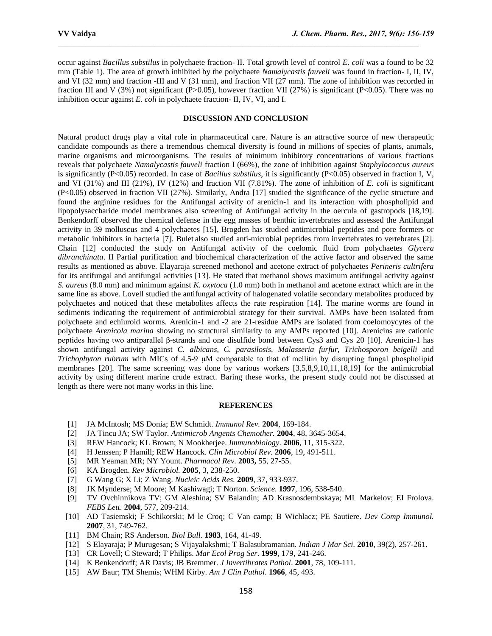occur against *Bacillus substilus* in polychaete fraction- II. Total growth level of control *E. coli* was a found to be 32 mm (Table 1). The area of growth inhibited by the polychaete *Namalycastis fauveli* was found in fraction- I, II, IV, and VI (32 mm) and fraction -III and V (31 mm), and fraction VII (27 mm). The zone of inhibition was recorded in fraction III and V (3%) not significant (P>0.05), however fraction VII (27%) is significant (P<0.05). There was no inhibition occur against *E. coli* in polychaete fraction- II, IV, VI, and I.

 $\mathcal{L}_\text{max}$ 

### **DISCUSSION AND CONCLUSION**

Natural product drugs play a vital role in pharmaceutical care. Nature is an attractive source of new therapeutic candidate compounds as there a tremendous chemical diversity is found in millions of species of plants, animals, marine organisms and microorganisms. The results of minimum inhibitory concentrations of various fractions reveals that polychaete *Namalycastis fauveli* fraction I (66%), the zone of inhibition against *Staphylococcus aureus*  is significantly (P<0.05) recorded. In case of *Bacillus substilus*, it is significantly (P<0.05) observed in fraction I, V, and VI (31%) and III (21%), IV (12%) and fraction VII (7.81%). The zone of inhibition of *E. coli* is significant (P<0.05) observed in fraction VII (27%). Similarly, Andra [17] studied the significance of the cyclic structure and found the arginine residues for the Antifungal activity of arenicin-1 and its interaction with phospholipid and lipopolysaccharide model membranes also screening of Antifungal activity in the oercula of gastropods [18,19]. Benkendorff observed the chemical defense in the egg masses of benthic invertebrates and assessed the Antifungal activity in 39 molluscus and 4 polychaetes [15]. Brogden has studied antimicrobial peptides and pore formers or metabolic inhibitors in bacteria [7]. Bulet also studied anti-microbial peptides from invertebrates to vertebrates [2]. Chain [12] conducted the study on Antifungal activity of the coelomic fluid from polychaetes *Glycera dibranchinata*. II Partial purification and biochemical characterization of the active factor and observed the same results as mentioned as above. Elayaraja screened methonol and acetone extract of polychaetes *Perineris cultrifera* for its antifungal and antifungal activities [13]. He stated that methanol shows maximum antifungal activity against *S. aureus* (8.0 mm) and minimum against *K. oxytoca* (1.0 mm) both in methanol and acetone extract which are in the same line as above. Lovell studied the antifungal activity of halogenated volatile secondary metabolites produced by polychaetes and noticed that these metabolites affects the rate respiration [14]. The marine worms are found in sediments indicating the requirement of antimicrobial strategy for their survival. AMPs have been isolated from polychaete and echiuroid worms. Arenicin-1 and -2 are 21-residue AMPs are isolated from coelomoycytes of the polychaete *Arenicola marina* showing no structural similarity to any AMPs reported [10]. Arenicins are cationic peptides having two antiparallel β-strands and one disulfide bond between Cys3 and Cys 20 [10]. Arenicin-1 has shown antifungal activity against *C. albicans, C. parasilosis, Malasseria furfur, Trichosporon beigelli* and *Trichophyton rubrum* with MICs of 4.5-9 μM comparable to that of mellitin by disrupting fungal phospholipid membranes [20]. The same screening was done by various workers [3,5,8,9,10,11,18,19] for the antimicrobial activity by using different marine crude extract. Baring these works, the present study could not be discussed at length as there were not many works in this line.

#### **REFERENCES**

- [1] JA McIntosh; MS Donia; EW Schmidt*. Immunol Rev.* **2004**, 169-184.
- [2] JA Tincu JA; SW Taylor. *Antimicrob Angents Chemother.* **2004**, 48, 3645-3654.
- [3] REW Hancock; KL Brown; N Mookherjee. *Immunobiology.* **2006**, 11, 315-322.
- [4] H Jenssen; P Hamill; REW Hancock. *Clin Microbiol Rev.* **2006**, 19, 491-511.
- [5] MR Yeaman MR; NY Yount. *Pharmacol Rev.* **2003,** 55, 27-55.
- [6] KA Brogden. *Rev Microbiol.* **2005**, 3, 238-250.
- [7] G Wang G; X Li; Z Wang. *Nucleic Acids Res.* **2009**, 37, 933-937.
- [8] JK Mynderse; M Moore; M Kashiwagi; T Norton. *Science.* **1997**, 196, 538-540.
- [9] TV Ovchinnikova TV; GM Aleshina; SV Balandin; AD Krasnosdembskaya; ML Markelov; EI Frolova. *FEBS Lett*. **2004**, 577, 209-214.
- [10] AD Tasiemski; F Schikorski; M le Croq; C Van camp; B Wichlacz; PE Sautiere. *Dev Comp Immunol.* **2007**, 31, 749-762.
- [11] BM Chain; RS Anderson. *Biol Bull.* **1983**, 164, 41-49.
- [12] S Elayaraja; P Murugesan; S Vijayalakshmi; T Balasubramanian. *Indian J Mar Sci.* **2010**, 39(2), 257-261.
- [13] CR Lovell; C Steward; T Philips. *Mar Ecol Prog Ser*. **1999**, 179, 241-246.
- [14] K Benkendorff; AR Davis; JB Bremmer. *J Invertibrates Pathol*. **2001**, 78, 109-111.
- [15] AW Baur; TM Shemis; WHM Kirby. *Am J Clin Pathol.* **1966**, 45, 493.